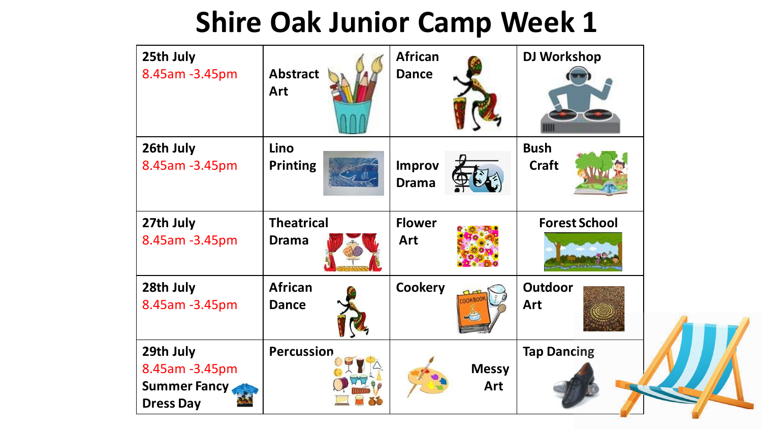| 25th July<br>8.45am -3.45pm                                             | <b>Abstract</b><br>Art            | <b>African</b><br><b>Dance</b> | <b>DJ Workshop</b>          |  |
|-------------------------------------------------------------------------|-----------------------------------|--------------------------------|-----------------------------|--|
| 26th July<br>8.45am -3.45pm                                             | Lino<br><b>Printing</b>           | <b>Improv</b><br><b>Drama</b>  | <b>Bush</b><br><b>Craft</b> |  |
| 27th July<br>8.45am - 3.45pm                                            | <b>Theatrical</b><br><b>Drama</b> | <b>Flower</b><br>Art           | <b>Forest School</b>        |  |
| 28th July<br>8.45am -3.45pm                                             | <b>African</b><br><b>Dance</b>    | <b>Cookery</b>                 | <b>Outdoor</b><br>Art       |  |
| 29th July<br>8.45am - 3.45pm<br><b>Summer Fancy</b><br><b>Dress Day</b> | <b>Percussion</b>                 | <b>Messy</b><br>Art            | <b>Tap Dancing</b>          |  |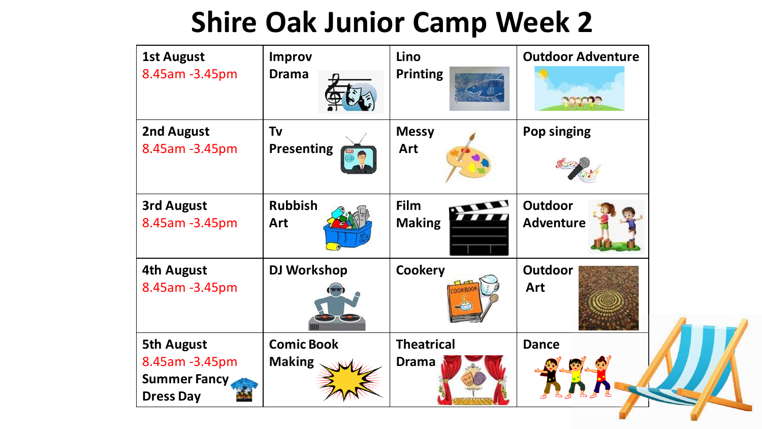| <b>1st August</b><br>8.45am -3.45pm                                            | <b>Improv</b><br><b>Drama</b>      | Lino<br><b>Printing</b>           | <b>Outdoor Adventure</b>           |  |
|--------------------------------------------------------------------------------|------------------------------------|-----------------------------------|------------------------------------|--|
| 2nd August<br>8.45am -3.45pm                                                   | Tv<br><b>Presenting</b>            | <b>Messy</b><br>Art               | Pop singing                        |  |
| <b>3rd August</b><br>8.45am -3.45pm                                            | <b>Rubbish</b><br>Art              | Film<br><b>Making</b>             | <b>Outdoor</b><br><b>Adventure</b> |  |
| <b>4th August</b><br>8.45am -3.45pm                                            | <b>DJ Workshop</b>                 | <b>Cookery</b>                    | <b>Outdoor</b><br>Art              |  |
| <b>5th August</b><br>8.45am -3.45pm<br><b>Summer Fancy</b><br><b>Dress Day</b> | <b>Comic Book</b><br><b>Making</b> | <b>Theatrical</b><br><b>Drama</b> | <b>Dance</b>                       |  |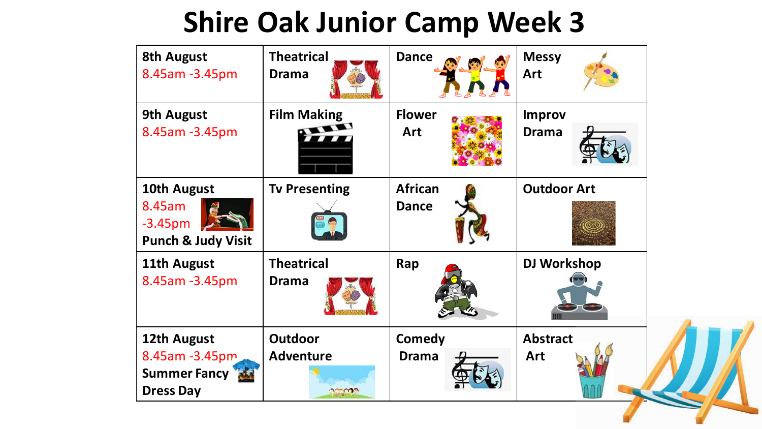| <b>8th August</b><br>8.45am -3.45pm                                 | <b>Theatrical</b><br><b>Drama</b>  | <b>Dance</b>                   | <b>Messy</b><br>Art           |  |
|---------------------------------------------------------------------|------------------------------------|--------------------------------|-------------------------------|--|
| <b>9th August</b><br>8.45am -3.45pm                                 | <b>Film Making</b>                 | <b>Flower</b><br>Art           | <b>Improv</b><br><b>Drama</b> |  |
| 10th August<br>8.45am<br>$-3.45pm$<br><b>Punch &amp; Judy Visit</b> | <b>Tv Presenting</b>               | <b>African</b><br><b>Dance</b> | <b>Outdoor Art</b>            |  |
| 11th August<br>8.45am -3.45pm                                       | <b>Theatrical</b><br><b>Drama</b>  | Rap                            | <b>DJ Workshop</b>            |  |
| 12th August<br>8.45am -3.45pm<br>Summer Fancy<br><b>Dress Day</b>   | <b>Outdoor</b><br><b>Adventure</b> | <b>Comedy</b><br><b>Drama</b>  | <b>Abstract</b><br><b>Art</b> |  |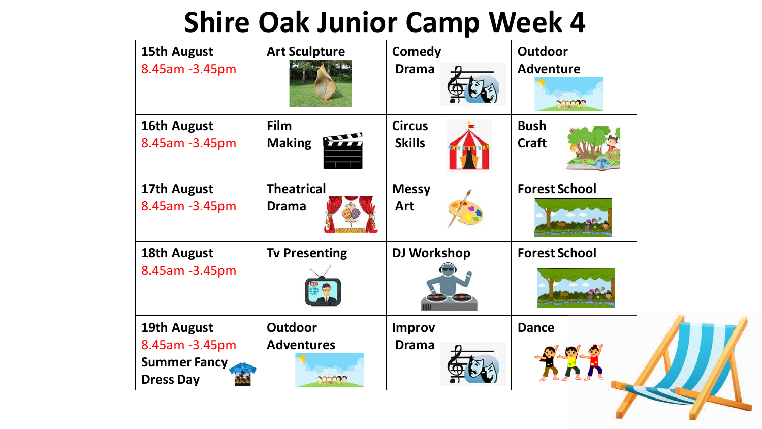| <b>15th August</b><br>8.45am -3.45pm                                     | <b>Art Sculpture</b>                                | <b>Comedy</b><br><b>Drama</b>  | <b>Outdoor</b><br><b>Adventure</b><br>anno |  |
|--------------------------------------------------------------------------|-----------------------------------------------------|--------------------------------|--------------------------------------------|--|
| 16th August<br>8.45am -3.45pm                                            | Film<br><b>Making</b>                               | <b>Circus</b><br><b>Skills</b> | <b>Bush</b><br><b>Craft</b>                |  |
| 17th August<br>8.45am -3.45pm                                            | <b>Theatrical</b><br><b>Drama</b>                   | <b>Messy</b><br>Art            | <b>Forest School</b>                       |  |
| 18th August<br>8.45am -3.45pm                                            | <b>Tv Presenting</b>                                | <b>DJ Workshop</b>             | <b>Forest School</b>                       |  |
| 19th August<br>8.45am -3.45pm<br><b>Summer Fancy</b><br><b>Dress Day</b> | <b>Outdoor</b><br><b>Adventures</b><br><b>PODOD</b> | <b>Improv</b><br><b>Drama</b>  | <b>Dance</b>                               |  |